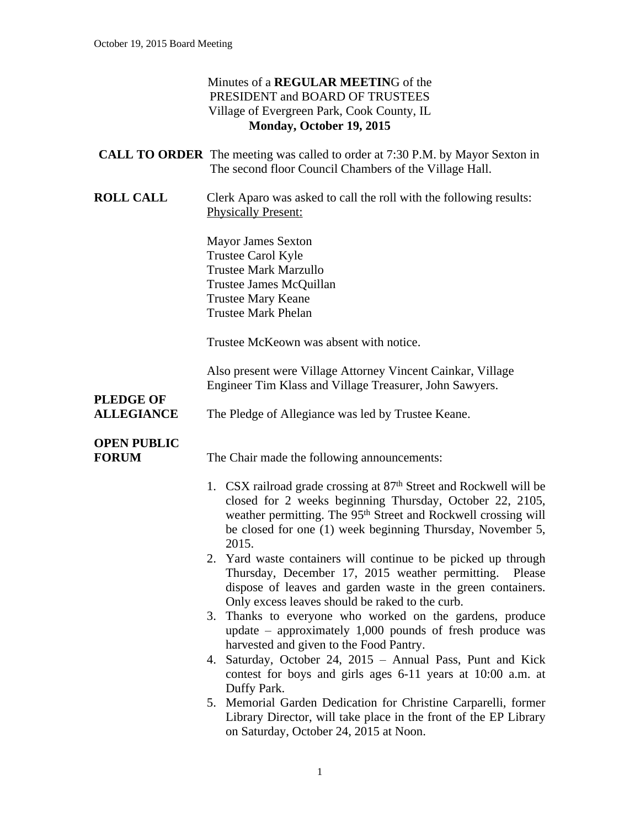|                                       | Minutes of a REGULAR MEETING of the<br>PRESIDENT and BOARD OF TRUSTEES<br>Village of Evergreen Park, Cook County, IL<br>Monday, October 19, 2015                                                                                                                                                                                                                                                                                                                                                                                                                                                                                                                                                                                                                                                                                                                                                                                    |
|---------------------------------------|-------------------------------------------------------------------------------------------------------------------------------------------------------------------------------------------------------------------------------------------------------------------------------------------------------------------------------------------------------------------------------------------------------------------------------------------------------------------------------------------------------------------------------------------------------------------------------------------------------------------------------------------------------------------------------------------------------------------------------------------------------------------------------------------------------------------------------------------------------------------------------------------------------------------------------------|
|                                       | <b>CALL TO ORDER</b> The meeting was called to order at 7:30 P.M. by Mayor Sexton in<br>The second floor Council Chambers of the Village Hall.                                                                                                                                                                                                                                                                                                                                                                                                                                                                                                                                                                                                                                                                                                                                                                                      |
| <b>ROLL CALL</b>                      | Clerk Aparo was asked to call the roll with the following results:<br><b>Physically Present:</b>                                                                                                                                                                                                                                                                                                                                                                                                                                                                                                                                                                                                                                                                                                                                                                                                                                    |
|                                       | <b>Mayor James Sexton</b><br>Trustee Carol Kyle<br><b>Trustee Mark Marzullo</b><br>Trustee James McQuillan<br><b>Trustee Mary Keane</b><br><b>Trustee Mark Phelan</b>                                                                                                                                                                                                                                                                                                                                                                                                                                                                                                                                                                                                                                                                                                                                                               |
|                                       | Trustee McKeown was absent with notice.                                                                                                                                                                                                                                                                                                                                                                                                                                                                                                                                                                                                                                                                                                                                                                                                                                                                                             |
| <b>PLEDGE OF</b><br><b>ALLEGIANCE</b> | Also present were Village Attorney Vincent Cainkar, Village<br>Engineer Tim Klass and Village Treasurer, John Sawyers.<br>The Pledge of Allegiance was led by Trustee Keane.                                                                                                                                                                                                                                                                                                                                                                                                                                                                                                                                                                                                                                                                                                                                                        |
| <b>OPEN PUBLIC</b><br><b>FORUM</b>    | The Chair made the following announcements:                                                                                                                                                                                                                                                                                                                                                                                                                                                                                                                                                                                                                                                                                                                                                                                                                                                                                         |
|                                       | 1. CSX railroad grade crossing at 87 <sup>th</sup> Street and Rockwell will be<br>closed for 2 weeks beginning Thursday, October 22, 2105,<br>weather permitting. The 95 <sup>th</sup> Street and Rockwell crossing will<br>be closed for one (1) week beginning Thursday, November 5,<br>2015.<br>2. Yard waste containers will continue to be picked up through<br>Thursday, December 17, 2015 weather permitting. Please<br>dispose of leaves and garden waste in the green containers.<br>Only excess leaves should be raked to the curb.<br>3. Thanks to everyone who worked on the gardens, produce<br>update $-$ approximately 1,000 pounds of fresh produce was<br>harvested and given to the Food Pantry.<br>Saturday, October 24, 2015 - Annual Pass, Punt and Kick<br>4.<br>contest for boys and girls ages 6-11 years at 10:00 a.m. at<br>Duffy Park.<br>5. Memorial Garden Dedication for Christine Carparelli, former |

5. Memorial Garden Dedication for Christine Carparelli, former Library Director, will take place in the front of the EP Library on Saturday, October 24, 2015 at Noon.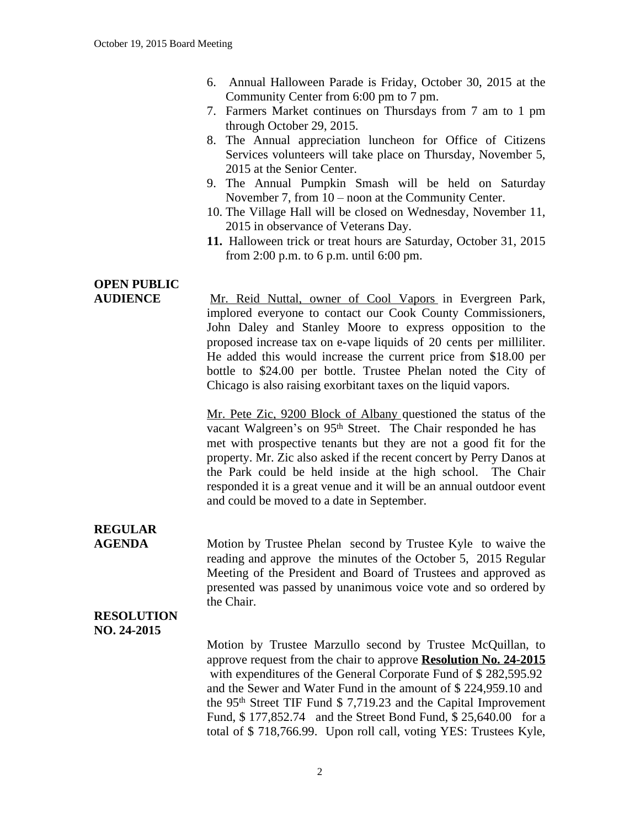- 6. Annual Halloween Parade is Friday, October 30, 2015 at the Community Center from 6:00 pm to 7 pm.
- 7. Farmers Market continues on Thursdays from 7 am to 1 pm through October 29, 2015.
- 8. The Annual appreciation luncheon for Office of Citizens Services volunteers will take place on Thursday, November 5, 2015 at the Senior Center.
- 9. The Annual Pumpkin Smash will be held on Saturday November 7, from 10 – noon at the Community Center.
- 10. The Village Hall will be closed on Wednesday, November 11, 2015 in observance of Veterans Day.
- **11.** Halloween trick or treat hours are Saturday, October 31, 2015 from 2:00 p.m. to 6 p.m. until 6:00 pm.

# **OPEN PUBLIC**

**AUDIENCE** Mr. Reid Nuttal, owner of Cool Vapors in Evergreen Park, implored everyone to contact our Cook County Commissioners, John Daley and Stanley Moore to express opposition to the proposed increase tax on e-vape liquids of 20 cents per milliliter. He added this would increase the current price from \$18.00 per bottle to \$24.00 per bottle. Trustee Phelan noted the City of Chicago is also raising exorbitant taxes on the liquid vapors.

> Mr. Pete Zic, 9200 Block of Albany questioned the status of the vacant Walgreen's on 95<sup>th</sup> Street. The Chair responded he has met with prospective tenants but they are not a good fit for the property. Mr. Zic also asked if the recent concert by Perry Danos at the Park could be held inside at the high school. The Chair responded it is a great venue and it will be an annual outdoor event and could be moved to a date in September.

### **REGULAR**

**AGENDA** Motion by Trustee Phelan second by Trustee Kyle to waive the reading and approve the minutes of the October 5, 2015 Regular Meeting of the President and Board of Trustees and approved as presented was passed by unanimous voice vote and so ordered by the Chair.

### **RESOLUTION NO. 24-2015**

Motion by Trustee Marzullo second by Trustee McQuillan, to approve request from the chair to approve **Resolution No. 24-2015** with expenditures of the General Corporate Fund of \$ 282,595.92 and the Sewer and Water Fund in the amount of \$ 224,959.10 and the 95th Street TIF Fund \$ 7,719.23 and the Capital Improvement Fund, \$ 177,852.74 and the Street Bond Fund, \$ 25,640.00 for a total of \$ 718,766.99. Upon roll call, voting YES: Trustees Kyle,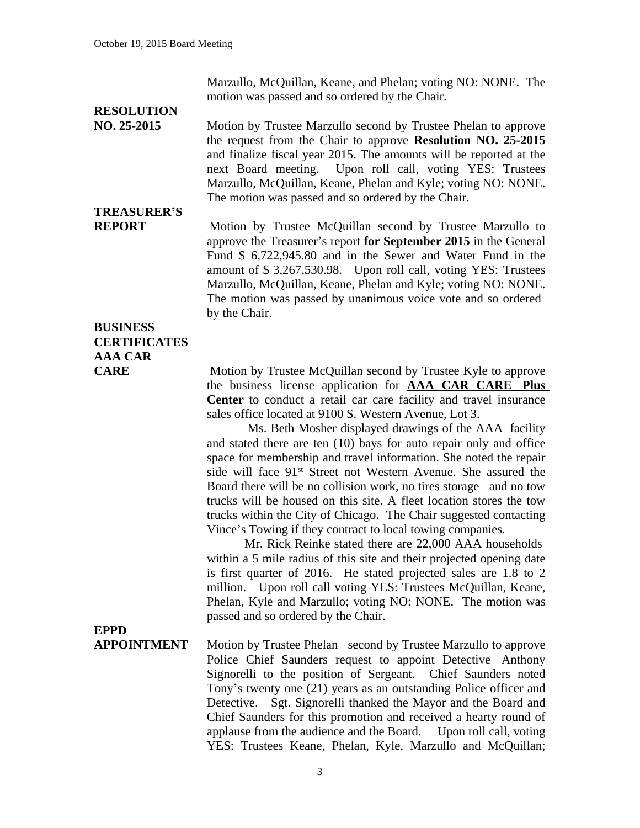Marzullo, McQuillan, Keane, and Phelan; voting NO: NONE. The motion was passed and so ordered by the Chair.

## **RESOLUTION**

**NO. 25-2015** Motion by Trustee Marzullo second by Trustee Phelan to approve the request from the Chair to approve **Resolution NO. 25-2015** and finalize fiscal year 2015. The amounts will be reported at the next Board meeting. Upon roll call, voting YES: Trustees Upon roll call, voting YES: Trustees Marzullo, McQuillan, Keane, Phelan and Kyle; voting NO: NONE. The motion was passed and so ordered by the Chair.

# **TREASURER'S**

**REPORT** Motion by Trustee McQuillan second by Trustee Marzullo to approve the Treasurer's report **for September 2015** in the General Fund \$ 6,722,945.80 and in the Sewer and Water Fund in the amount of \$ 3,267,530.98. Upon roll call, voting YES: Trustees Marzullo, McQuillan, Keane, Phelan and Kyle; voting NO: NONE. The motion was passed by unanimous voice vote and so ordered by the Chair.

### **BUSINESS CERTIFICATES AAA CAR**

**CARE** Motion by Trustee McQuillan second by Trustee Kyle to approve the business license application for **AAA CAR CARE Plus Center** to conduct a retail car care facility and travel insurance sales office located at 9100 S. Western Avenue, Lot 3.

> Ms. Beth Mosher displayed drawings of the AAA facility and stated there are ten (10) bays for auto repair only and office space for membership and travel information. She noted the repair side will face 91st Street not Western Avenue. She assured the Board there will be no collision work, no tires storage and no tow trucks will be housed on this site. A fleet location stores the tow trucks within the City of Chicago. The Chair suggested contacting Vince's Towing if they contract to local towing companies.

> Mr. Rick Reinke stated there are 22,000 AAA households within a 5 mile radius of this site and their projected opening date is first quarter of 2016. He stated projected sales are 1.8 to 2 million. Upon roll call voting YES: Trustees McQuillan, Keane, Phelan, Kyle and Marzullo; voting NO: NONE. The motion was passed and so ordered by the Chair.

**EPPD**

**APPOINTMENT** Motion by Trustee Phelan second by Trustee Marzullo to approve Police Chief Saunders request to appoint Detective Anthony Signorelli to the position of Sergeant. Chief Saunders noted Tony's twenty one (21) years as an outstanding Police officer and Detective. Sgt. Signorelli thanked the Mayor and the Board and Chief Saunders for this promotion and received a hearty round of applause from the audience and the Board. Upon roll call, voting YES: Trustees Keane, Phelan, Kyle, Marzullo and McQuillan;